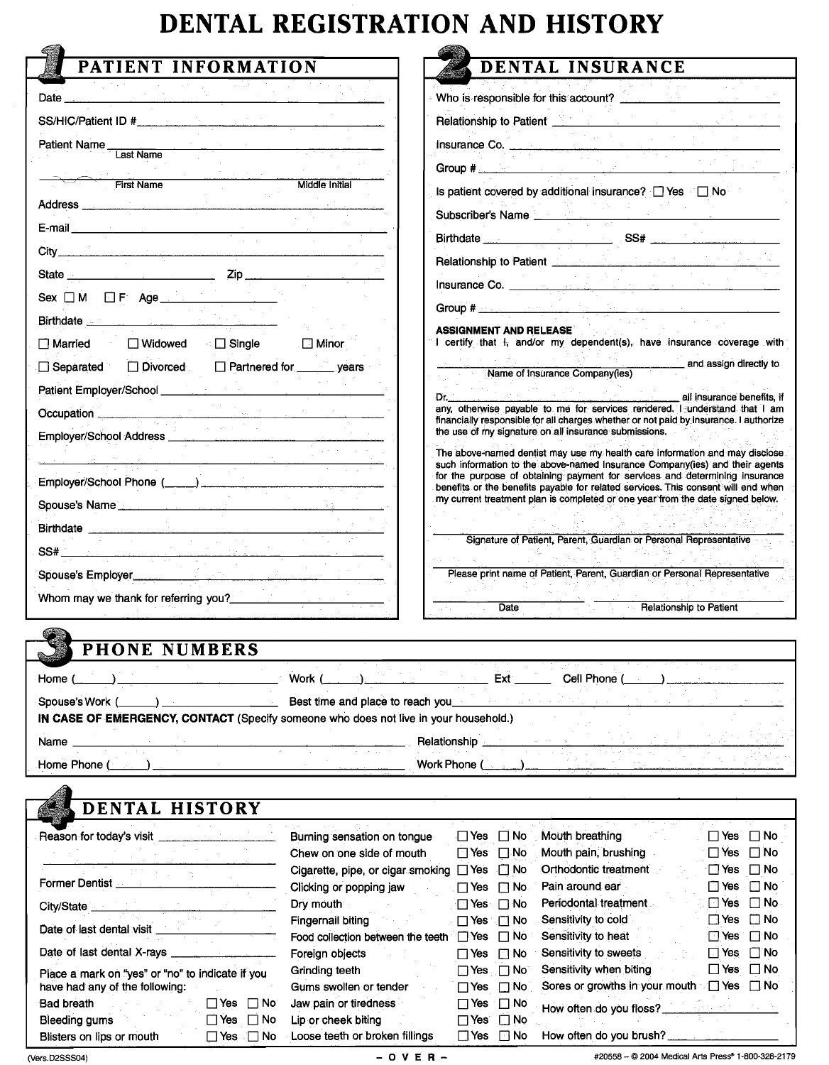## **DENTAL REGISTRATION AND HISTORY**

| PATIENT INFORMATION                                                                                                                                                                                                                  | <b>DENTAL INSURANCE</b>                                                                                                                                                                                                              |
|--------------------------------------------------------------------------------------------------------------------------------------------------------------------------------------------------------------------------------------|--------------------------------------------------------------------------------------------------------------------------------------------------------------------------------------------------------------------------------------|
| Date and the contract of the contract of the contract of the contract of the contract of the contract of the contract of the contract of the contract of the contract of the contract of the contract of the contract of the c       | Who is responsible for this account?                                                                                                                                                                                                 |
| SS/HIC/Patient ID #                                                                                                                                                                                                                  | Relationship to Patient <u>Communications</u>                                                                                                                                                                                        |
|                                                                                                                                                                                                                                      | Insurance Co.                                                                                                                                                                                                                        |
| Patient Name<br>Last Name                                                                                                                                                                                                            | <b>Group # 2000 All Contracts and Contracts and Contracts and Contracts and Contracts and Contracts and Contracts</b>                                                                                                                |
| <b>First Name</b><br><b>Middle Initial</b>                                                                                                                                                                                           | Is patient covered by additional insurance? TYes TNo                                                                                                                                                                                 |
|                                                                                                                                                                                                                                      | Subscriber's Name                                                                                                                                                                                                                    |
| E-mail entry and the contract of the contract of the contract of the contract of the contract of the contract of the contract of the contract of the contract of the contract of the contract of the contract of the contract        |                                                                                                                                                                                                                                      |
|                                                                                                                                                                                                                                      |                                                                                                                                                                                                                                      |
| State Zip                                                                                                                                                                                                                            |                                                                                                                                                                                                                                      |
| Sex OM OF Age                                                                                                                                                                                                                        | Insurance Co.                                                                                                                                                                                                                        |
| Birthdate <b>Executive Contract Contract Contract Contract Contract Contract Contract Contract Contract Contract Contract Contract Contract Contract Contract Contract Contract Contract Contract Contract Contract Contract Con</b> | Group # <u>Additional Communication of the Communication of the Communication of the Communication of the Communication</u>                                                                                                          |
| $\Box$ Married<br>■ ■ Widowed<br>. ⊡ Minor                                                                                                                                                                                           | <b>ASSIGNMENT AND RELEASE</b><br>I certify that I <sub>i</sub> and/or my dependent(s), have insurance coverage with                                                                                                                  |
| Partnered for years<br>Divorced<br>$\Box$ Separated                                                                                                                                                                                  | and assign directly to<br>Name of Insurance Company(ies)                                                                                                                                                                             |
|                                                                                                                                                                                                                                      |                                                                                                                                                                                                                                      |
| Occupation<br>$\mathcal{P}_\text{in}$ , and $\mathcal{P}_\text{out}$                                                                                                                                                                 | all insurance benefits, if<br>any, otherwise payable to me for services rendered. I understand that I am                                                                                                                             |
| Employer/School Address _____<br>and the control                                                                                                                                                                                     | financially responsible for all charges whether or not paid by insurance. I authorize<br>the use of my signature on all insurance submissions.                                                                                       |
|                                                                                                                                                                                                                                      | The above-named dentist may use my health care information and may disclose<br>such information to the above-named Insurance Company(ies) and their agents                                                                           |
| Employer/School Phone (____)                                                                                                                                                                                                         | for the purpose of obtaining payment for services and determining insurance                                                                                                                                                          |
| Spouse's Name                                                                                                                                                                                                                        | benefits or the benefits payable for related services. This consent will end when<br>my current treatment plan is completed or one year from the date signed below.                                                                  |
|                                                                                                                                                                                                                                      |                                                                                                                                                                                                                                      |
|                                                                                                                                                                                                                                      | Signature of Patient, Parent, Guardian or Personal Representative                                                                                                                                                                    |
| <u> 1999 - André Carlotte</u><br>Spouse's Employer                                                                                                                                                                                   | Please print name of Patient, Parent, Guardian or Personal Representative                                                                                                                                                            |
| Whom may we thank for referring you?______________                                                                                                                                                                                   |                                                                                                                                                                                                                                      |
|                                                                                                                                                                                                                                      | Relationship to Patient<br>Date<br>in C                                                                                                                                                                                              |
| <b>PHONE NUMBERS</b>                                                                                                                                                                                                                 |                                                                                                                                                                                                                                      |
|                                                                                                                                                                                                                                      |                                                                                                                                                                                                                                      |
| Work (<br>Home (                                                                                                                                                                                                                     | Cell Phone<br>Ext                                                                                                                                                                                                                    |
|                                                                                                                                                                                                                                      | Best time and place to reach you <b>contain the set of the set of the set of the set of the set of the set of the set of the set of the set of the set of the set of the set of the set of the set of the set of the set of the </b> |
| Spouse's Work (<br>$\sim$                                                                                                                                                                                                            |                                                                                                                                                                                                                                      |
| IN CASE OF EMERGENCY, CONTACT (Specify someone who does not live in your household.)                                                                                                                                                 |                                                                                                                                                                                                                                      |
| Name __                                                                                                                                                                                                                              | Relationship                                                                                                                                                                                                                         |
| Home Phone (                                                                                                                                                                                                                         | Work Phone (                                                                                                                                                                                                                         |
| DENTAL HISTORY                                                                                                                                                                                                                       |                                                                                                                                                                                                                                      |

| Reason for today's visit                         | Burning sensation on tongue       |                       | ΠYes ΠNo             | Mouth breathing                                     | ⊟Yes ⊟No             |                      |  |
|--------------------------------------------------|-----------------------------------|-----------------------|----------------------|-----------------------------------------------------|----------------------|----------------------|--|
|                                                  | Chew on one side of mouth         | $\Box$ Yes $\Box$ No  |                      | Mouth pain, brushing                                | $\Box$ Yes $\Box$ No |                      |  |
|                                                  | Cigarette, pipe, or cigar smoking | $\Box$ Yes $\Box$ No  |                      | Orthodontic treatment                               | '⊡Yes ⊡No            |                      |  |
| Former Dentist                                   | Clicking or popping jaw           | $\Box$ Yes $\Box$ No. |                      | Pain around ear                                     | □Yes □No             |                      |  |
| City/State __                                    | Dry mouth                         | $\Box$ Yes $\Box$ No  |                      | Periodontal treatment                               |                      | $\Box$ Yes $\Box$ No |  |
|                                                  | Fingernail biting                 | . ⊟ Yes Fi No         |                      | Sensitivity to cold                                 |                      | ∃Yes □No             |  |
| Date of last dental visit                        | Food collection between the teeth |                       | TYes □ No            | Sensitivity to heat                                 | ⊡Yes ⊟No             |                      |  |
| Date of last dental X-rays _                     | Foreign objects                   | $\Box$ Yes $\Box$ No  |                      | Sensitivity to sweets                               | □ Yes □ No           |                      |  |
| Place a mark on "yes" or "no" to indicate if you | Grinding teeth                    |                       | ⊤Yes ⊓No⊺            | Sensitivity when biting                             | ∏Yes                 | $\square$ No         |  |
| have had any of the following:                   | Gums swollen or tender            |                       | $\Box$ Yes $\Box$ No | Sores or growths in your mouth $\Box$ Yes $\Box$ No |                      |                      |  |
| Bad breath<br>∏Yes ∏No⊺                          | Jaw pain or tiredness             |                       | ⊟Yes ⊡No             | How often do you floss?                             |                      |                      |  |
| コYes □No<br>Bleeding gums                        | Lip or cheek biting               |                       | ⊟ Yes′⊟ No           |                                                     |                      |                      |  |
| ⊤Yes ⊓No<br>Blisters on lips or mouth            | Loose teeth or broken fillings    |                       | □Yes □No             | How often do you brush?                             |                      |                      |  |

(Vers.D2SSS04) **- OVER-** #20558 - © 2004 Medical Arts Press<sup>®</sup> 1-800-328-2179